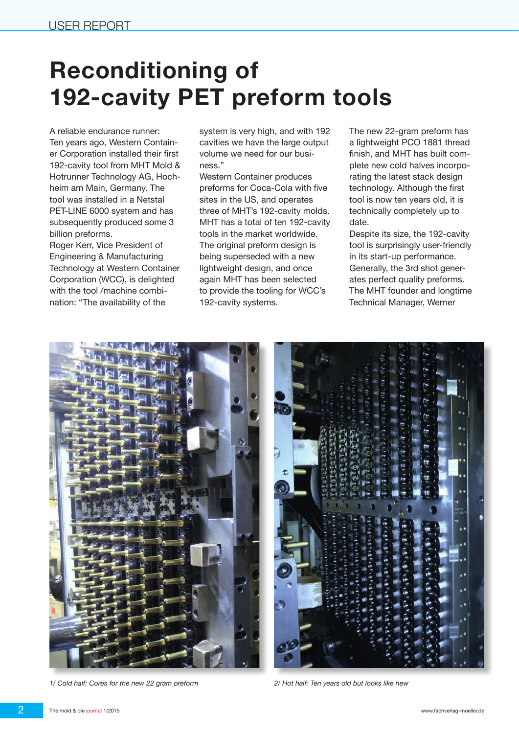## **Reconditioning of 192-cavity PET preform tools**

A reliable endurance runner: Ten years ago, Western Container Corporation installed their first 192-cavity tool from MHT Mold & Hotrunner Technology AG, Hochheim am Main, Germany. The tool was installed in a Netstal PET-LINE 6000 system and has subsequently produced some 3 billion preforms.

Roger Kerr, Vice President of Engineering & Manufacturing Technology at Western Container Corporation (WCC), is delighted with the tool /machine combination: "The availability of the

system is very high, and with 192 cavities we have the large output volume we need for our business."

Western Container produces preforms for Coca-Cola with five sites in the US, and operates three of MHT's 192-cavity molds. MHT has a total of ten 192-cavity tools in the market worldwide. The original preform design is being superseded with a new lightweight design, and once again MHT has been selected to provide the tooling for WCC's 192-cavity systems.

The new 22-gram preform has a lightweight PCO 1881 thread finish, and MHT has built complete new cold halves incorporating the latest stack design technology. Although the first tool is now ten years old, it is technically completely up to date.

Despite its size, the 192-cavity tool is surprisingly user-friendly in its start-up performance. Generally, the 3rd shot generates perfect quality preforms. The MHT founder and longtime Technical Manager, Werner



*1/ Cold half: Cores for the new 22 gram preform 2/ Hot half: Ten years old but looks like new*